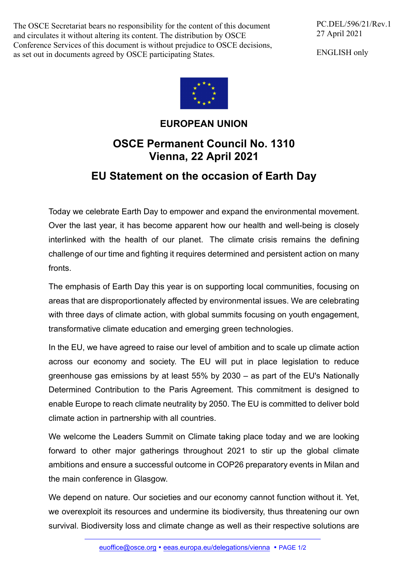The OSCE Secretariat bears no responsibility for the content of this document and circulates it without altering its content. The distribution by OSCE Conference Services of this document is without prejudice to OSCE decisions, as set out in documents agreed by OSCE participating States.

PC.DEL/596/21/Rev.1 27 April 2021

ENGLISH only



## **EUROPEAN UNION**

## **OSCE Permanent Council No. 1310 Vienna, 22 April 2021**

## **EU Statement on the occasion of Earth Day**

Today we celebrate Earth Day to empower and expand the environmental movement. Over the last year, it has become apparent how our health and well-being is closely interlinked with the health of our planet. The climate crisis remains the defining challenge of our time and fighting it requires determined and persistent action on many fronts.

The emphasis of Earth Day this year is on supporting local communities, focusing on areas that are disproportionately affected by environmental issues. We are celebrating with three days of climate action, with global summits focusing on youth engagement, transformative climate education and emerging green technologies.

In the EU, we have agreed to raise our level of ambition and to scale up climate action across our economy and society. The EU will put in place legislation to reduce greenhouse gas emissions by at least 55% by 2030 – as part of the EU's Nationally Determined Contribution to the Paris Agreement. This commitment is designed to enable Europe to reach climate neutrality by 2050. The EU is committed to deliver bold climate action in partnership with all countries.

We welcome the Leaders Summit on Climate taking place today and we are looking forward to other major gatherings throughout 2021 to stir up the global climate ambitions and ensure a successful outcome in COP26 preparatory events in Milan and the main conference in Glasgow.

We depend on nature. Our societies and our economy cannot function without it. Yet, we overexploit its resources and undermine its biodiversity, thus threatening our own survival. Biodiversity loss and climate change as well as their respective solutions are